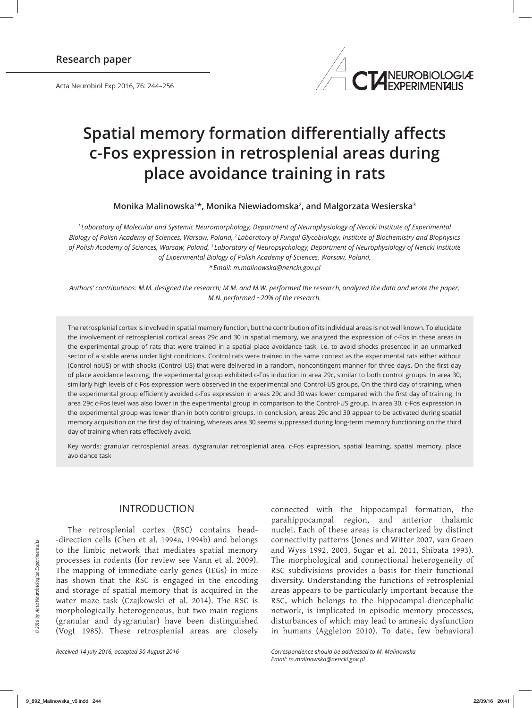Acta Neurobiol Exp 2016, 76: 244–256



# **Spatial memory formation differentially affects c-Fos expression in retrosplenial areas during place avoidance training in rats**

**Monika Malinowska<sup>1</sup> \*, Monika Niewiadomska<sup>2</sup> , and Malgorzata Wesierska<sup>3</sup>**

*1 Laboratory of Molecular and Systemic Neuromorphology, Department of Neurophysiology of Nencki Institute of Experimental Biology of Polish Academy of Sciences, Warsaw, Poland, 2 Laboratory of Fungal Glycobiology, Institute of Biochemistry and Biophysics of Polish Academy of Sciences, Warsaw, Poland, 3 Laboratory of Neuropsychology, Department of Neurophysiology of Nencki Institute of Experimental Biology of Polish Academy of Sciences, Warsaw, Poland, \* Email: m.malinowska@nencki.gov.pl*

*Authors' contributions: M.M. designed the research; M.M. and M.W. performed the research, analyzed the data and wrote the paper; M.N. performed ~20% of the research.*

The retrosplenial cortex is involved in spatial memory function, but the contribution of its individual areas is not well known. To elucidate the involvement of retrosplenial cortical areas 29c and 30 in spatial memory, we analyzed the expression of c-Fos in these areas in the experimental group of rats that were trained in a spatial place avoidance task, i.e. to avoid shocks presented in an unmarked sector of a stable arena under light conditions. Control rats were trained in the same context as the experimental rats either without (Control-noUS) or with shocks (Control-US) that were delivered in a random, noncontingent manner for three days. On the first day of place avoidance learning, the experimental group exhibited c-Fos induction in area 29c, similar to both control groups. In area 30, similarly high levels of c-Fos expression were observed in the experimental and Control-US groups. On the third day of training, when the experimental group efficiently avoided c-Fos expression in areas 29c and 30 was lower compared with the first day of training. In area 29c c-Fos level was also lower in the experimental group in comparison to the Control-US group. In area 30, c-Fos expression in the experimental group was lower than in both control groups. In conclusion, areas 29c and 30 appear to be activated during spatial memory acquisition on the first day of training, whereas area 30 seems suppressed during long-term memory functioning on the third day of training when rats effectively avoid.

Key words: granular retrosplenial areas, dysgranular retrosplenial area, c-Fos expression, spatial learning, spatial memory, place avoidance task

# INTRODUCTION

The retrosplenial cortex (RSC) contains head- -direction cells (Chen et al. 1994a, 1994b) and belongs to the limbic network that mediates spatial memory processes in rodents (for review see Vann et al. 2009). The mapping of immediate-early genes (IEGs) in mice has shown that the RSC is engaged in the encoding and storage of spatial memory that is acquired in the water maze task (Czajkowski et al. 2014). The RSC is morphologically heterogeneous, but two main regions (granular and dysgranular) have been distinguished (Vogt 1985). These retrosplenial areas are closely

*Received 14 July 2016, accepted 30 August 2016*

connected with the hippocampal formation, the parahippocampal region, and anterior thalamic nuclei. Each of these areas is characterized by distinct connectivity patterns (Jones and Witter 2007, van Groen and Wyss 1992, 2003, Sugar et al. 2011, Shibata 1993). The morphological and connectional heterogeneity of RSC subdivisions provides a basis for their functional diversity. Understanding the functions of retrosplenial areas appears to be particularly important because the RSC, which belongs to the hippocampal-diencephalic network, is implicated in episodic memory processes, disturbances of which may lead to amnesic dysfunction in humans (Aggleton 2010). To date, few behavioral

*Correspondence should be addressed to M. Malinowska Email: m.malinowska@nencki.gov.pl*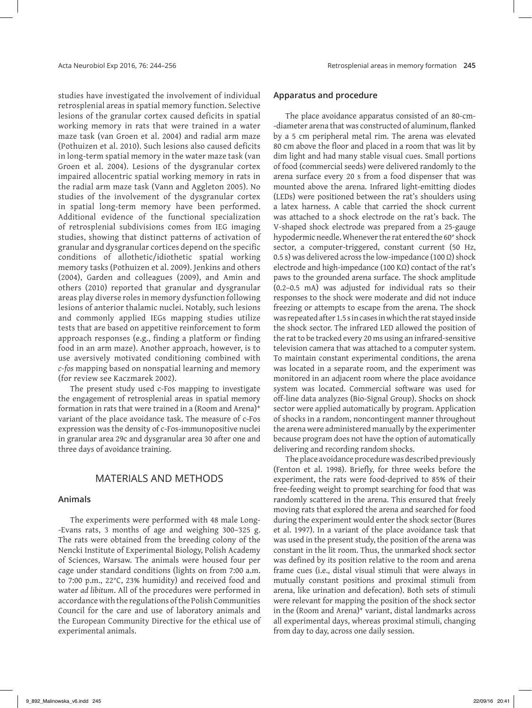studies have investigated the involvement of individual retrosplenial areas in spatial memory function. Selective lesions of the granular cortex caused deficits in spatial working memory in rats that were trained in a water maze task (van Groen et al. 2004) and radial arm maze (Pothuizen et al. 2010). Such lesions also caused deficits in long-term spatial memory in the water maze task (van Groen et al. 2004). Lesions of the dysgranular cortex impaired allocentric spatial working memory in rats in the radial arm maze task (Vann and Aggleton 2005). No studies of the involvement of the dysgranular cortex in spatial long-term memory have been performed. Additional evidence of the functional specialization of retrosplenial subdivisions comes from IEG imaging studies, showing that distinct patterns of activation of granular and dysgranular cortices depend on the specific conditions of allothetic/idiothetic spatial working memory tasks (Pothuizen et al. 2009). Jenkins and others (2004), Garden and colleagues (2009), and Amin and others (2010) reported that granular and dysgranular areas play diverse roles in memory dysfunction following lesions of anterior thalamic nuclei. Notably, such lesions and commonly applied IEGs mapping studies utilize tests that are based on appetitive reinforcement to form approach responses (e.g., finding a platform or finding food in an arm maze). Another approach, however, is to use aversively motivated conditioning combined with *c-fos* mapping based on nonspatial learning and memory (for review see Kaczmarek 2002).

The present study used c-Fos mapping to investigate the engagement of retrosplenial areas in spatial memory formation in rats that were trained in a (Room and Arena)+ variant of the place avoidance task. The measure of c-Fos expression was the density of c-Fos-immunopositive nuclei in granular area 29c and dysgranular area 30 after one and three days of avoidance training.

## MATERIALS AND METHODS

### **Animals**

The experiments were performed with 48 male Long- -Evans rats, 3 months of age and weighing 300–325 g. The rats were obtained from the breeding colony of the Nencki Institute of Experimental Biology, Polish Academy of Sciences, Warsaw. The animals were housed four per cage under standard conditions (lights on from 7:00 a.m. to 7:00 p.m., 22°C, 23% humidity) and received food and water *ad libitum*. All of the procedures were performed in accordance with the regulations of the Polish Communities Council for the care and use of laboratory animals and the European Community Directive for the ethical use of experimental animals.

#### **Apparatus and procedure**

The place avoidance apparatus consisted of an 80-cm- ‑diameter arena that was constructed of aluminum, flanked by a 5 cm peripheral metal rim. The arena was elevated 80 cm above the floor and placed in a room that was lit by dim light and had many stable visual cues. Small portions of food (commercial seeds) were delivered randomly to the arena surface every 20 s from a food dispenser that was mounted above the arena. Infrared light-emitting diodes (LEDs) were positioned between the rat's shoulders using a latex harness. A cable that carried the shock current was attached to a shock electrode on the rat's back. The V-shaped shock electrode was prepared from a 25-gauge hypodermic needle. Whenever the rat entered the 60° shock sector, a computer-triggered, constant current (50 Hz, 0.5 s) was delivered across the low-impedance (100  $\Omega$ ) shock electrode and high-impedance (100 KΩ) contact of the rat's paws to the grounded arena surface. The shock amplitude (0.2–0.5 mA) was adjusted for individual rats so their responses to the shock were moderate and did not induce freezing or attempts to escape from the arena. The shock was repeated after 1.5 s in cases in which the rat stayed inside the shock sector. The infrared LED allowed the position of the rat to be tracked every 20 ms using an infrared-sensitive television camera that was attached to a computer system. To maintain constant experimental conditions, the arena was located in a separate room, and the experiment was monitored in an adjacent room where the place avoidance system was located. Commercial software was used for off-line data analyzes (Bio-Signal Group). Shocks on shock sector were applied automatically by program. Application of shocks in a random, noncontingent manner throughout the arena were administered manually by the experimenter because program does not have the option of automatically delivering and recording random shocks.

The place avoidance procedure was described previously (Fenton et al. 1998). Briefly, for three weeks before the experiment, the rats were food-deprived to 85% of their free-feeding weight to prompt searching for food that was randomly scattered in the arena. This ensured that freely moving rats that explored the arena and searched for food during the experiment would enter the shock sector (Bures et al. 1997). In a variant of the place avoidance task that was used in the present study, the position of the arena was constant in the lit room. Thus, the unmarked shock sector was defined by its position relative to the room and arena frame cues (i.e., distal visual stimuli that were always in mutually constant positions and proximal stimuli from arena, like urination and defecation). Both sets of stimuli were relevant for mapping the position of the shock sector in the (Room and Arena)+ variant, distal landmarks across all experimental days, whereas proximal stimuli, changing from day to day, across one daily session.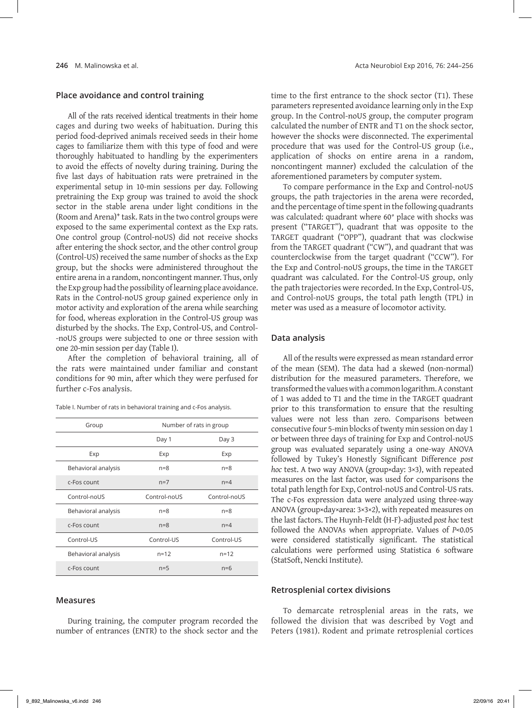## **Place avoidance and control training**

All of the rats received identical treatments in their home cages and during two weeks of habituation. During this period food-deprived animals received seeds in their home cages to familiarize them with this type of food and were thoroughly habituated to handling by the experimenters to avoid the effects of novelty during training. During the five last days of habituation rats were pretrained in the experimental setup in 10-min sessions per day. Following pretraining the Exp group was trained to avoid the shock sector in the stable arena under light conditions in the (Room and Arena)+ task. Rats in the two control groups were exposed to the same experimental context as the Exp rats. One control group (Control-noUS) did not receive shocks after entering the shock sector, and the other control group (Control-US) received the same number of shocks as the Exp group, but the shocks were administered throughout the entire arena in a random, noncontingent manner. Thus, only the Exp group had the possibility of learning place avoidance. Rats in the Control-noUS group gained experience only in motor activity and exploration of the arena while searching for food, whereas exploration in the Control-US group was disturbed by the shocks. The Exp, Control-US, and Control- -noUS groups were subjected to one or three session with one 20-min session per day (Table I).

After the completion of behavioral training, all of the rats were maintained under familiar and constant conditions for 90 min, after which they were perfused for further c-Fos analysis.

Table I. Number of rats in behavioral training and c-Fos analysis.

| Group               | Number of rats in group |              |
|---------------------|-------------------------|--------------|
|                     | Day 1                   | Day 3        |
| Exp                 | Exp                     | Exp          |
| Behavioral analysis | $n=8$                   | $n=8$        |
| c-Fos count         | $n=7$                   | $n=4$        |
| Control-noUS        | Control-noUS            | Control-noUS |
| Behavioral analysis | $n = 8$                 | $n=8$        |
| c-Fos count         | $n=8$                   | $n=4$        |
| Control-US          | Control-US              | Control-US   |
| Behavioral analysis | $n = 12$                | $n = 12$     |
| c-Fos count         | $n=5$                   | $n=6$        |

#### **Measures**

During training, the computer program recorded the number of entrances (ENTR) to the shock sector and the time to the first entrance to the shock sector (T1). These parameters represented avoidance learning only in the Exp group. In the Control-noUS group, the computer program calculated the number of ENTR and T1 on the shock sector, however the shocks were disconnected. The experimental procedure that was used for the Control-US group (i.e., application of shocks on entire arena in a random, noncontingent manner) excluded the calculation of the aforementioned parameters by computer system.

To compare performance in the Exp and Control-noUS groups, the path trajectories in the arena were recorded, and the percentage of time spent in the following quadrants was calculated: quadrant where 60° place with shocks was present ("TARGET"), quadrant that was opposite to the TARGET quadrant ("OPP"), quadrant that was clockwise from the TARGET quadrant ("CW"), and quadrant that was counterclockwise from the target quadrant ("CCW"). For the Exp and Control-noUS groups, the time in the TARGET quadrant was calculated. For the Control-US group, only the path trajectories were recorded. In the Exp, Control-US, and Control-noUS groups, the total path length (TPL) in meter was used as a measure of locomotor activity.

#### **Data analysis**

All of the results were expressed as mean ±standard error of the mean (SEM). The data had a skewed (non-normal) distribution for the measured parameters. Therefore, we transformed the values with a common logarithm. A constant of 1 was added to T1 and the time in the TARGET quadrant prior to this transformation to ensure that the resulting values were not less than zero. Comparisons between consecutive four 5-min blocks of twenty min session on day 1 or between three days of training for Exp and Control-noUS group was evaluated separately using a one-way ANOVA followed by Tukey's Honestly Significant Difference *post hoc* test. A two way ANOVA (group×day: 3×3), with repeated measures on the last factor, was used for comparisons the total path length for Exp, Control-noUS and Control-US rats. The c-Fos expression data were analyzed using three-way ANOVA (group×day×area: 3×3×2), with repeated measures on the last factors. The Huynh-Feldt (H-F)-adjusted *post hoc* test followed the ANOVAs when appropriate. Values of *P*<0.05 were considered statistically significant. The statistical calculations were performed using Statistica 6 software (StatSoft, Nencki Institute).

#### **Retrosplenial cortex divisions**

To demarcate retrosplenial areas in the rats, we followed the division that was described by Vogt and Peters (1981). Rodent and primate retrosplenial cortices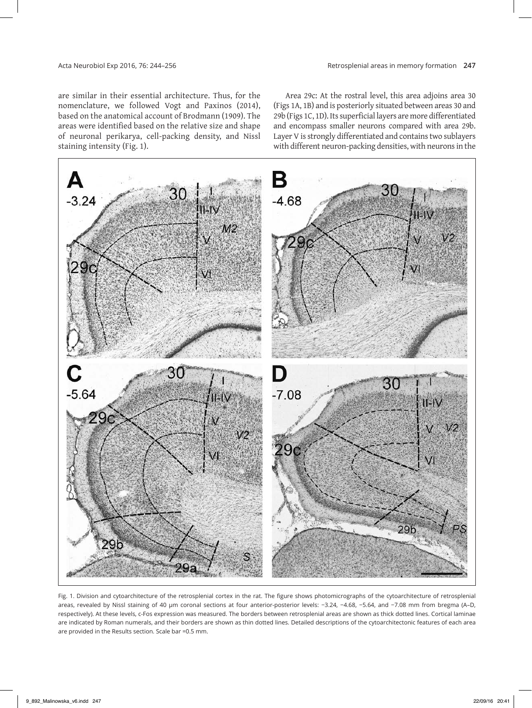are similar in their essential architecture. Thus, for the nomenclature, we followed Vogt and Paxinos (2014), based on the anatomical account of Brodmann (1909). The areas were identified based on the relative size and shape of neuronal perikarya, cell-packing density, and Nissl staining intensity (Fig. 1).

Area 29c: At the rostral level, this area adjoins area 30 (Figs 1A, 1B) and is posteriorly situated between areas 30 and 29b (Figs 1C, 1D). Its superficial layers are more differentiated and encompass smaller neurons compared with area 29b. Layer V is strongly differentiated and contains two sublayers with different neuron-packing densities, with neurons in the



Fig. 1. Division and cytoarchitecture of the retrosplenial cortex in the rat. The figure shows photomicrographs of the cytoarchitecture of retrosplenial areas, revealed by Nissl staining of 40 μm coronal sections at four anterior-posterior levels: −3.24, −4.68, −5.64, and −7.08 mm from bregma (A–D, respectively). At these levels, c-Fos expression was measured. The borders between retrosplenial areas are shown as thick dotted lines. Cortical laminae are indicated by Roman numerals, and their borders are shown as thin dotted lines. Detailed descriptions of the cytoarchitectonic features of each area are provided in the Results section. Scale bar =0.5 mm.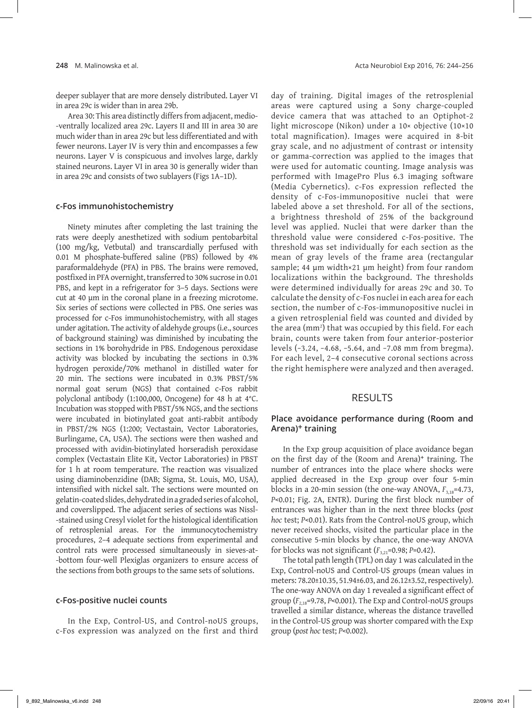deeper sublayer that are more densely distributed. Layer VI in area 29c is wider than in area 29b.

Area 30: This area distinctly differs from adjacent, medio--ventrally localized area 29c. Layers II and III in area 30 are much wider than in area 29c but less differentiated and with fewer neurons. Layer IV is very thin and encompasses a few neurons. Layer V is conspicuous and involves large, darkly stained neurons. Layer VI in area 30 is generally wider than in area 29c and consists of two sublayers (Figs 1A–1D).

#### **c-Fos immunohistochemistry**

Ninety minutes after completing the last training the rats were deeply anesthetized with sodium pentobarbital (100 mg/kg, Vetbutal) and transcardially perfused with 0.01 M phosphate-buffered saline (PBS) followed by 4% paraformaldehyde (PFA) in PBS. The brains were removed, postfixed in PFA overnight, transferred to 30% sucrose in 0.01 PBS, and kept in a refrigerator for 3–5 days. Sections were cut at 40 μm in the coronal plane in a freezing microtome. Six series of sections were collected in PBS. One series was processed for c-Fos immunohistochemistry, with all stages under agitation. The activity of aldehyde groups (i.e., sources of background staining) was diminished by incubating the sections in 1% borohydride in PBS. Endogenous peroxidase activity was blocked by incubating the sections in 0.3% hydrogen peroxide/70% methanol in distilled water for 20 min. The sections were incubated in 0.3% PBST/5% normal goat serum (NGS) that contained c-Fos rabbit polyclonal antibody (1:100,000, Oncogene) for 48 h at 4°C. Incubation was stopped with PBST/5% NGS, and the sections were incubated in biotinylated goat anti-rabbit antibody in PBST/2% NGS (1:200; Vectastain, Vector Laboratories, Burlingame, CA, USA). The sections were then washed and processed with avidin-biotinylated horseradish peroxidase complex (Vectastain Elite Kit, Vector Laboratories) in PBST for 1 h at room temperature. The reaction was visualized using diaminobenzidine (DAB; Sigma, St. Louis, MO, USA), intensified with nickel salt. The sections were mounted on gelatin-coated slides, dehydrated in a graded series of alcohol, and coverslipped. The adjacent series of sections was Nissl- ‑stained using Cresyl violet for the histological identification of retrosplenial areas. For the immunocytochemistry procedures, 2–4 adequate sections from experimental and control rats were processed simultaneously in sieves-at- -bottom four-well Plexiglas organizers to ensure access of the sections from both groups to the same sets of solutions.

#### **c-Fos-positive nuclei counts**

In the Exp, Control-US, and Control-noUS groups, c-Fos expression was analyzed on the first and third day of training. Digital images of the retrosplenial areas were captured using a Sony charge-coupled device camera that was attached to an Optiphot-2 light microscope (Nikon) under a 10× objective (10×10 total magnification). Images were acquired in 8-bit gray scale, and no adjustment of contrast or intensity or gamma-correction was applied to the images that were used for automatic counting. Image analysis was performed with ImagePro Plus 6.3 imaging software (Media Cybernetics). c-Fos expression reflected the density of c-Fos-immunopositive nuclei that were labeled above a set threshold. For all of the sections, a brightness threshold of 25% of the background level was applied. Nuclei that were darker than the threshold value were considered c-Fos-positive. The threshold was set individually for each section as the mean of gray levels of the frame area (rectangular sample; 44 μm width×21 μm height) from four random localizations within the background. The thresholds were determined individually for areas 29c and 30. To calculate the density of c-Fos nuclei in each area for each section, the number of c-Fos-immunopositive nuclei in a given retrosplenial field was counted and divided by the area (mm2 ) that was occupied by this field. For each brain, counts were taken from four anterior-posterior levels (−3.24, −4.68, −5.64, and −7.08 mm from bregma). For each level, 2–4 consecutive coronal sections across the right hemisphere were analyzed and then averaged.

## RESULTS

## **Place avoidance performance during (Room and Arena)+ training**

In the Exp group acquisition of place avoidance began on the first day of the (Room and Arena)+ training. The number of entrances into the place where shocks were applied decreased in the Exp group over four 5-min blocks in a 20-min session (the one-way ANOVA,  $F_{3,18}$ =4.73, *P*<0.01; Fig. 2A, ENTR). During the first block number of entrances was higher than in the next three blocks (*post hoc* test; *P*<0.01). Rats from the Control-noUS group, which never received shocks, visited the particular place in the consecutive 5-min blocks by chance, the one-way ANOVA for blocks was not significant ( $F_{3,21}$ =0.98; *P*=0.42).

The total path length (TPL) on day 1 was calculated in the Exp, Control-noUS and Control-US groups (mean values in meters: 78.20±10.35, 51.94±6.03, and 26.12±3.52, respectively). The one-way ANOVA on day 1 revealed a significant effect of group  $(F_{2,18}=9.78, P<0.001)$ . The Exp and Control-noUS groups travelled a similar distance, whereas the distance travelled in the Control-US group was shorter compared with the Exp group (*post hoc* test; *P*<0.002).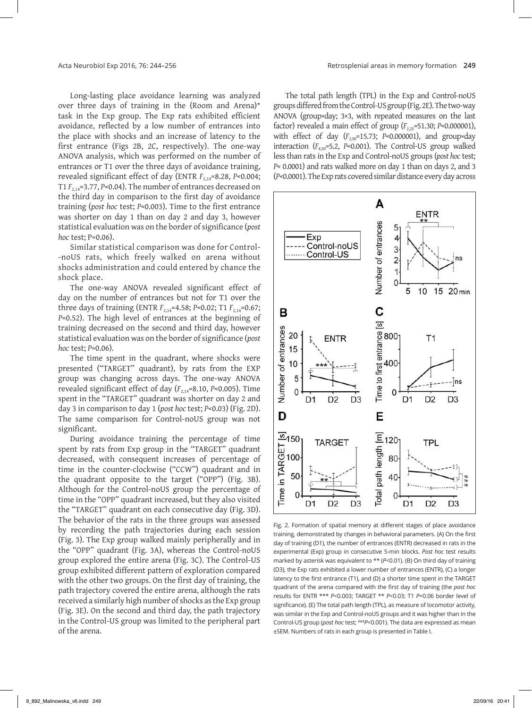Long-lasting place avoidance learning was analyzed over three days of training in the (Room and Arena)+ task in the Exp group. The Exp rats exhibited efficient avoidance, reflected by a low number of entrances into the place with shocks and an increase of latency to the first entrance (Figs 2B, 2C, respectively). The one‑way ANOVA analysis, which was performed on the number of entrances or T1 over the three days of avoidance training, revealed significant effect of day (ENTR *F*2,14=8.28, *P*<0.004; T1 *F*2,14=3.77, *P*<0.04). The number of entrances decreased on the third day in comparison to the first day of avoidance training (*post hoc* test; *P*<0.003). Time to the first entrance was shorter on day 1 than on day 2 and day 3, however statistical evaluation was on the border of significance (*post hoc* test; P=0.06).

Similar statistical comparison was done for Control- -noUS rats, which freely walked on arena without shocks administration and could entered by chance the shock place.

The one‑way ANOVA revealed significant effect of day on the number of entrances but not for T1 over the three days of training (ENTR  $F_{2,14}$ =4.58; *P*<0.02; T1  $F_{2,14}$ =0.67; *P*=0.52). The high level of entrances at the beginning of training decreased on the second and third day, however statistical evaluation was on the border of significance (*post hoc* test; *P*=0.06).

The time spent in the quadrant, where shocks were presented ("TARGET" quadrant), by rats from the EXP group was changing across days. The one-way ANOVA revealed significant effect of day ( $F_{2,14}$ =8.10, *P*<0.005). Time spent in the "TARGET" quadrant was shorter on day 2 and day 3 in comparison to day 1 (*post hoc* test; *P*<0.03) (Fig. 2D). The same comparison for Control-noUS group was not significant.

During avoidance training the percentage of time spent by rats from Exp group in the "TARGET" quadrant decreased, with consequent increases of percentage of time in the counter-clockwise ("CCW") quadrant and in the quadrant opposite to the target ("OPP") (Fig. 3B). Although for the Control-noUS group the percentage of time in the "OPP" quadrant increased, but they also visited the "TARGET" quadrant on each consecutive day (Fig. 3D). The behavior of the rats in the three groups was assessed by recording the path trajectories during each session (Fig. 3). The Exp group walked mainly peripherally and in the "OPP" quadrant (Fig. 3A), whereas the Control-noUS group explored the entire arena (Fig. 3C). The Control-US group exhibited different pattern of exploration compared with the other two groups. On the first day of training, the path trajectory covered the entire arena, although the rats received a similarly high number of shocks as the Exp group (Fig. 3E). On the second and third day, the path trajectory in the Control-US group was limited to the peripheral part of the arena.

The total path length (TPL) in the Exp and Control-noUS groups differed from the Control‑US group (Fig. 2E). The two‑way ANOVA (group×day; 3×3, with repeated measures on the last factor) revealed a main effect of group ( $F_{2,25}$ =51.30; *P*<0.000001), with effect of day ( $F_{2,50}$ =15.73; *P*<0.000001), and group×day interaction  $(F_{4,50} = 5.2, P < 0.001)$ . The Control-US group walked less than rats in the Exp and Control-noUS groups (*post hoc* test; *P*< 0.0001) and rats walked more on day 1 than on days 2, and 3 (*P*<0.0001). The Exp rats covered similar distance every day across



Fig. 2. Formation of spatial memory at different stages of place avoidance training, demonstrated by changes in behavioral parameters. (A) On the first day of training (D1), the number of entrances (ENTR) decreased in rats in the experimental (Exp) group in consecutive 5-min blocks. *Post hoc* test results marked by asterisk was equivalent to \*\* (*P*<0.01). (B) On third day of training (D3), the Exp rats exhibited a lower number of entrances (ENTR), (C) a longer latency to the first entrance (T1), and (D) a shorter time spent in the TARGET quadrant of the arena compared with the first day of training (the *post hoc* results for ENTR \*\*\* *P*<0.003; TARGET \*\* *P*<0.03; T1 *P*=0.06 border level of significance). (E) The total path length (TPL), as measure of locomotor activity, was similar in the Exp and Control-noUS groups and it was higher than in the Control-US group (*post hoc* test; ###*P*<0.001). The data are expressed as mean ±SEM. Numbers of rats in each group is presented in Table I.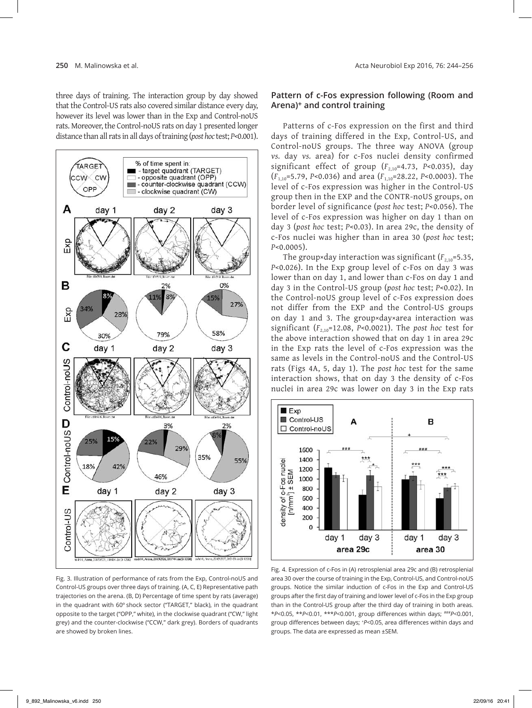three days of training. The interaction group by day showed that the Control-US rats also covered similar distance every day, however its level was lower than in the Exp and Control-noUS rats. Moreover, the Control-noUS rats on day 1 presented longer distance than all rats in all days of training (*post hoc* test; *P*<0.001).



Fig. 3. Illustration of performance of rats from the Exp, Control-noUS and Control-US groups over three days of training. (A, C, E) Representative path trajectories on the arena. (B, D) Percentage of time spent by rats (average) in the quadrant with 60º shock sector ("TARGET," black), in the quadrant opposite to the target ("OPP," white), in the clockwise quadrant ("CW," light grey) and the counter-clockwise ("CCW," dark grey). Borders of quadrants are showed by broken lines.

## **Pattern of c-Fos expression following (Room and Arena)+ and control training**

Patterns of c-Fos expression on the first and third days of training differed in the Exp, Control-US, and Control-noUS groups. The three way ANOVA (group *vs.* day *vs.* area) for c-Fos nuclei density confirmed significant effect of group ( $F_{2,10}$ =4.73, *P*<0.035), day (*F*1,10=5.79, *P*<0.036) and area (*F*1,10=28.22, *P*<0.0003). The level of c-Fos expression was higher in the Control-US group then in the EXP and the CONTR-noUS groups, on border level of significance (*post hoc* test; *P*<0.056). The level of c-Fos expression was higher on day 1 than on day 3 (*post hoc* test; *P*<0.03). In area 29c, the density of c-Fos nuclei was higher than in area 30 (*post hoc* test; *P*<0.0005).

The group×day interaction was significant ( $F_{2,10}$ =5.35, *P*<0.026). In the Exp group level of c-Fos on day 3 was lower than on day 1, and lower than c-Fos on day 1 and day 3 in the Control-US group (*post hoc* test; *P*<0.02). In the Control-noUS group level of c-Fos expression does not differ from the EXP and the Control-US groups on day 1 and 3. The group×day×area interaction was significant ( $F_{2,10}$ =12.08, *P*<0.0021). The *post hoc* test for the above interaction showed that on day 1 in area 29c in the Exp rats the level of c-Fos expression was the same as levels in the Control-noUS and the Control-US rats (Figs 4A, 5, day 1). The *post hoc* test for the same interaction shows, that on day 3 the density of c-Fos nuclei in area 29c was lower on day 3 in the Exp rats



Fig. 4. Expression of c-Fos in (A) retrosplenial area 29c and (B) retrosplenial area 30 over the course of training in the Exp, Control-US, and Control-noUS groups. Notice the similar induction of c-Fos in the Exp and Control-US groups after the first day of training and lower level of c-Fos in the Exp group than in the Control-US group after the third day of training in both areas. \**P*<0.05, \*\**P*<0.01, \*\*\**P*<0.001, group differences within days; ###*P*<0.001, group differences between days; <sup>+</sup> *P*<0.05, area differences within days and groups. The data are expressed as mean ±SEM.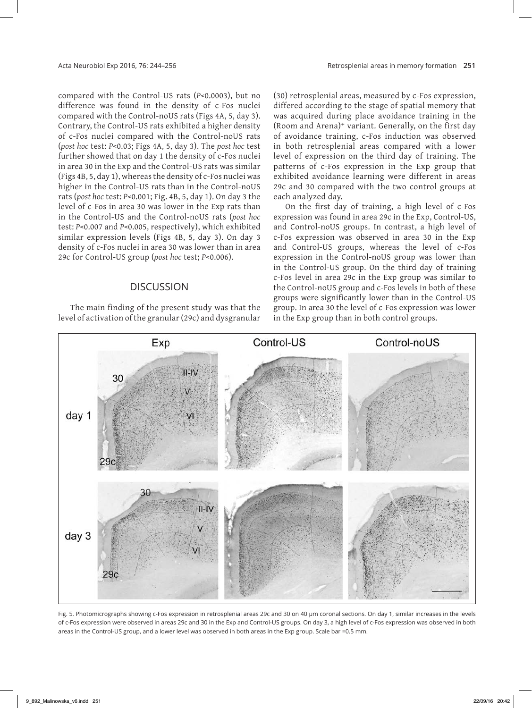compared with the Control-US rats (*P*<0.0003), but no difference was found in the density of c-Fos nuclei compared with the Control-noUS rats (Figs 4A, 5, day 3). Contrary, the Control-US rats exhibited a higher density of c-Fos nuclei compared with the Control-noUS rats (*post hoc* test: *P*<0.03; Figs 4A, 5, day 3). The *post hoc* test further showed that on day 1 the density of c-Fos nuclei in area 30 in the Exp and the Control-US rats was similar (Figs 4B, 5, day 1), whereas the density of c-Fos nuclei was higher in the Control-US rats than in the Control-noUS rats (*post hoc* test: *P*<0.001; Fig. 4B, 5, day 1). On day 3 the level of c-Fos in area 30 was lower in the Exp rats than in the Control-US and the Control-noUS rats (*post hoc* test: *P*<0.007 and *P*<0.005, respectively), which exhibited similar expression levels (Figs 4B, 5, day 3). On day 3 density of c-Fos nuclei in area 30 was lower than in area 29c for Control-US group (*post hoc* test; *P*<0.006).

## **DISCUSSION**

The main finding of the present study was that the level of activation of the granular (29c) and dysgranular

(30) retrosplenial areas, measured by c-Fos expression, differed according to the stage of spatial memory that was acquired during place avoidance training in the (Room and Arena)+ variant. Generally, on the first day of avoidance training, c-Fos induction was observed in both retrosplenial areas compared with a lower level of expression on the third day of training. The patterns of c-Fos expression in the Exp group that exhibited avoidance learning were different in areas 29c and 30 compared with the two control groups at each analyzed day.

On the first day of training, a high level of c-Fos expression was found in area 29c in the Exp, Control-US, and Control-noUS groups. In contrast, a high level of c-Fos expression was observed in area 30 in the Exp and Control-US groups, whereas the level of c-Fos expression in the Control-noUS group was lower than in the Control-US group. On the third day of training c-Fos level in area 29c in the Exp group was similar to the Control-noUS group and c-Fos levels in both of these groups were significantly lower than in the Control-US group. In area 30 the level of c-Fos expression was lower in the Exp group than in both control groups.



Fig. 5. Photomicrographs showing c-Fos expression in retrosplenial areas 29c and 30 on 40 μm coronal sections. On day 1, similar increases in the levels of c-Fos expression were observed in areas 29c and 30 in the Exp and Control-US groups. On day 3, a high level of c-Fos expression was observed in both areas in the Control-US group, and a lower level was observed in both areas in the Exp group. Scale bar =0.5 mm.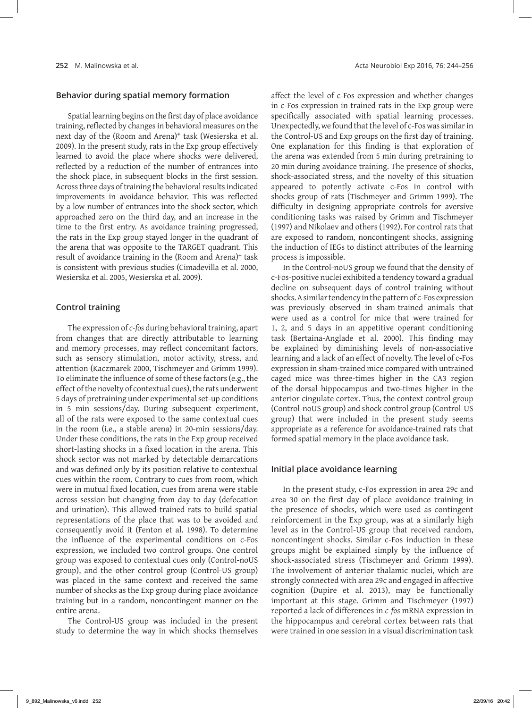#### **Behavior during spatial memory formation**

Spatial learning begins on the first day of place avoidance training, reflected by changes in behavioral measures on the next day of the (Room and Arena)+ task (Wesierska et al. 2009). In the present study, rats in the Exp group effectively learned to avoid the place where shocks were delivered, reflected by a reduction of the number of entrances into the shock place, in subsequent blocks in the first session. Across three days of training the behavioral results indicated improvements in avoidance behavior. This was reflected by a low number of entrances into the shock sector, which approached zero on the third day, and an increase in the time to the first entry. As avoidance training progressed, the rats in the Exp group stayed longer in the quadrant of the arena that was opposite to the TARGET quadrant. This result of avoidance training in the (Room and Arena)<sup>+</sup> task is consistent with previous studies (Cimadevilla et al. 2000, Wesierska et al. 2005, Wesierska et al. 2009).

## **Control training**

The expression of *c-fos* during behavioral training, apart from changes that are directly attributable to learning and memory processes, may reflect concomitant factors, such as sensory stimulation, motor activity, stress, and attention (Kaczmarek 2000, Tischmeyer and Grimm 1999). To eliminate the influence of some of these factors (e.g., the effect of the novelty of contextual cues), the rats underwent 5 days of pretraining under experimental set-up conditions in 5 min sessions/day. During subsequent experiment, all of the rats were exposed to the same contextual cues in the room (i.e., a stable arena) in 20-min sessions/day. Under these conditions, the rats in the Exp group received short-lasting shocks in a fixed location in the arena. This shock sector was not marked by detectable demarcations and was defined only by its position relative to contextual cues within the room. Contrary to cues from room, which were in mutual fixed location, cues from arena were stable across session but changing from day to day (defecation and urination). This allowed trained rats to build spatial representations of the place that was to be avoided and consequently avoid it (Fenton et al. 1998). To determine the influence of the experimental conditions on c‑Fos expression, we included two control groups. One control group was exposed to contextual cues only (Control-noUS group), and the other control group (Control-US group) was placed in the same context and received the same number of shocks as the Exp group during place avoidance training but in a random, noncontingent manner on the entire arena.

The Control-US group was included in the present study to determine the way in which shocks themselves affect the level of c‑Fos expression and whether changes in c-Fos expression in trained rats in the Exp group were specifically associated with spatial learning processes. Unexpectedly, we found that the level of c-Fos was similar in the Control-US and Exp groups on the first day of training. One explanation for this finding is that exploration of the arena was extended from 5 min during pretraining to 20 min during avoidance training. The presence of shocks, shock-associated stress, and the novelty of this situation appeared to potently activate c-Fos in control with shocks group of rats (Tischmeyer and Grimm 1999). The difficulty in designing appropriate controls for aversive conditioning tasks was raised by Grimm and Tischmeyer (1997) and Nikolaev and others (1992). For control rats that are exposed to random, noncontingent shocks, assigning the induction of IEGs to distinct attributes of the learning process is impossible.

In the Control-noUS group we found that the density of c-Fos-positive nuclei exhibited a tendency toward a gradual decline on subsequent days of control training without shocks. A similar tendency in the pattern of c-Fos expression was previously observed in sham-trained animals that were used as a control for mice that were trained for 1, 2, and 5 days in an appetitive operant conditioning task (Bertaina‑Anglade et al. 2000). This finding may be explained by diminishing levels of non-associative learning and a lack of an effect of novelty. The level of c-Fos expression in sham-trained mice compared with untrained caged mice was three-times higher in the CA3 region of the dorsal hippocampus and two-times higher in the anterior cingulate cortex. Thus, the context control group (Control-noUS group) and shock control group (Control-US group) that were included in the present study seems appropriate as a reference for avoidance-trained rats that formed spatial memory in the place avoidance task.

## **Initial place avoidance learning**

In the present study, c-Fos expression in area 29c and area 30 on the first day of place avoidance training in the presence of shocks, which were used as contingent reinforcement in the Exp group, was at a similarly high level as in the Control-US group that received random, noncontingent shocks. Similar c-Fos induction in these groups might be explained simply by the influence of shock-associated stress (Tischmeyer and Grimm 1999). The involvement of anterior thalamic nuclei, which are strongly connected with area 29c and engaged in affective cognition (Dupire et al. 2013), may be functionally important at this stage. Grimm and Tischmeyer (1997) reported a lack of differences in *c-fos* mRNA expression in the hippocampus and cerebral cortex between rats that were trained in one session in a visual discrimination task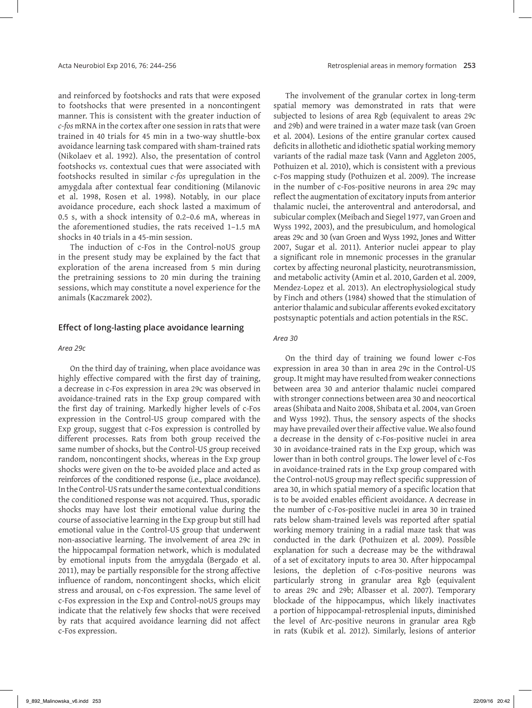and reinforced by footshocks and rats that were exposed to footshocks that were presented in a noncontingent manner. This is consistent with the greater induction of *c-fos* mRNA in the cortex after one session in rats that were trained in 40 trials for 45 min in a two-way shuttle-box avoidance learning task compared with sham-trained rats (Nikolaev et al. 1992). Also, the presentation of control footshocks *vs*. contextual cues that were associated with footshocks resulted in similar *c-fos* upregulation in the amygdala after contextual fear conditioning (Milanovic et al. 1998, Rosen et al. 1998). Notably, in our place avoidance procedure, each shock lasted a maximum of 0.5 s, with a shock intensity of 0.2–0.6 mA, whereas in the aforementioned studies, the rats received 1–1.5 mA shocks in 40 trials in a 45-min session.

The induction of c-Fos in the Control-noUS group in the present study may be explained by the fact that exploration of the arena increased from 5 min during the pretraining sessions to 20 min during the training sessions, which may constitute a novel experience for the animals (Kaczmarek 2002).

#### **Effect of long-lasting place avoidance learning**

#### *Area 29c*

On the third day of training, when place avoidance was highly effective compared with the first day of training, a decrease in c-Fos expression in area 29c was observed in avoidance-trained rats in the Exp group compared with the first day of training. Markedly higher levels of c-Fos expression in the Control-US group compared with the Exp group, suggest that c-Fos expression is controlled by different processes. Rats from both group received the same number of shocks, but the Control-US group received random, noncontingent shocks, whereas in the Exp group shocks were given on the to-be avoided place and acted as reinforces of the conditioned response (i.e., place avoidance). In the Control-US rats under the same contextual conditions the conditioned response was not acquired. Thus, sporadic shocks may have lost their emotional value during the course of associative learning in the Exp group but still had emotional value in the Control-US group that underwent non-associative learning. The involvement of area 29c in the hippocampal formation network, which is modulated by emotional inputs from the amygdala (Bergado et al. 2011), may be partially responsible for the strong affective influence of random, noncontingent shocks, which elicit stress and arousal, on c-Fos expression. The same level of c-Fos expression in the Exp and Control-noUS groups may indicate that the relatively few shocks that were received by rats that acquired avoidance learning did not affect c-Fos expression.

The involvement of the granular cortex in long-term spatial memory was demonstrated in rats that were subjected to lesions of area Rgb (equivalent to areas 29c and 29b) and were trained in a water maze task (van Groen et al. 2004). Lesions of the entire granular cortex caused deficits in allothetic and idiothetic spatial working memory variants of the radial maze task (Vann and Aggleton 2005, Pothuizen et al. 2010), which is consistent with a previous c-Fos mapping study (Pothuizen et al. 2009). The increase in the number of c-Fos-positive neurons in area 29c may reflect the augmentation of excitatory inputs from anterior thalamic nuclei, the anteroventral and anterodorsal, and subicular complex (Meibach and Siegel 1977, van Groen and Wyss 1992, 2003), and the presubiculum, and homological areas 29c and 30 (van Groen and Wyss 1992, Jones and Witter 2007, Sugar et al. 2011). Anterior nuclei appear to play a significant role in mnemonic processes in the granular cortex by affecting neuronal plasticity, neurotransmission, and metabolic activity (Amin et al. 2010, Garden et al. 2009, Mendez-Lopez et al. 2013). An electrophysiological study by Finch and others (1984) showed that the stimulation of anterior thalamic and subicular afferents evoked excitatory postsynaptic potentials and action potentials in the RSC.

#### *Area 30*

On the third day of training we found lower c-Fos expression in area 30 than in area 29c in the Control-US group. It might may have resulted from weaker connections between area 30 and anterior thalamic nuclei compared with stronger connections between area 30 and neocortical areas (Shibata and Naito 2008, Shibata et al. 2004, van Groen and Wyss 1992). Thus, the sensory aspects of the shocks may have prevailed over their affective value. We also found a decrease in the density of c-Fos-positive nuclei in area 30 in avoidance-trained rats in the Exp group, which was lower than in both control groups. The lower level of c-Fos in avoidance-trained rats in the Exp group compared with the Control‑noUS group may reflect specific suppression of area 30, in which spatial memory of a specific location that is to be avoided enables efficient avoidance. A decrease in the number of c-Fos-positive nuclei in area 30 in trained rats below sham-trained levels was reported after spatial working memory training in a radial maze task that was conducted in the dark (Pothuizen et al. 2009). Possible explanation for such a decrease may be the withdrawal of a set of excitatory inputs to area 30. After hippocampal lesions, the depletion of c-Fos-positive neurons was particularly strong in granular area Rgb (equivalent to areas 29c and 29b; Albasser et al. 2007). Temporary blockade of the hippocampus, which likely inactivates a portion of hippocampal-retrosplenial inputs, diminished the level of Arc-positive neurons in granular area Rgb in rats (Kubik et al. 2012). Similarly, lesions of anterior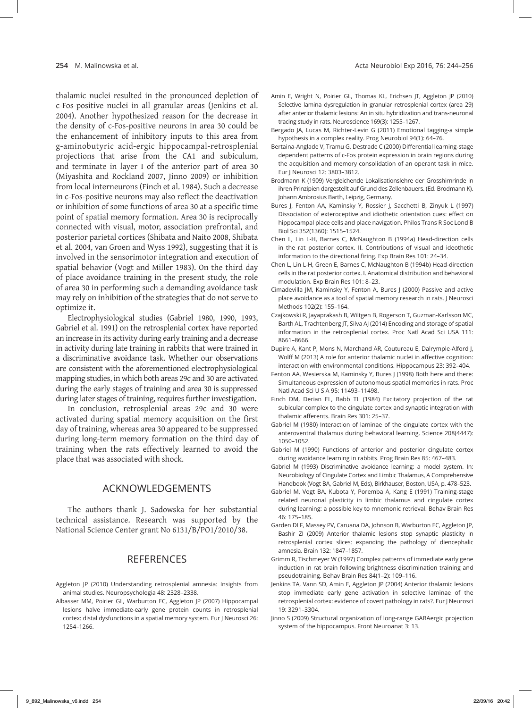thalamic nuclei resulted in the pronounced depletion of c-Fos-positive nuclei in all granular areas (Jenkins et al. 2004). Another hypothesized reason for the decrease in the density of c-Fos-positive neurons in area 30 could be the enhancement of inhibitory inputs to this area from g-aminobutyric acid-ergic hippocampal-retrosplenial projections that arise from the CA1 and subiculum, and terminate in layer I of the anterior part of area 30 (Miyashita and Rockland 2007, Jinno 2009) or inhibition from local interneurons (Finch et al. 1984). Such a decrease in c‑Fos‑positive neurons may also reflect the deactivation or inhibition of some functions of area 30 at a specific time point of spatial memory formation. Area 30 is reciprocally connected with visual, motor, association prefrontal, and posterior parietal cortices (Shibata and Naito 2008, Shibata et al. 2004, van Groen and Wyss 1992), suggesting that it is involved in the sensorimotor integration and execution of spatial behavior (Vogt and Miller 1983). On the third day of place avoidance training in the present study, the role of area 30 in performing such a demanding avoidance task may rely on inhibition of the strategies that do not serve to optimize it.

Electrophysiological studies (Gabriel 1980, 1990, 1993, Gabriel et al. 1991) on the retrosplenial cortex have reported an increase in its activity during early training and a decrease in activity during late training in rabbits that were trained in a discriminative avoidance task. Whether our observations are consistent with the aforementioned electrophysiological mapping studies, in which both areas 29c and 30 are activated during the early stages of training and area 30 is suppressed during later stages of training, requires further investigation.

In conclusion, retrosplenial areas 29c and 30 were activated during spatial memory acquisition on the first day of training, whereas area 30 appeared to be suppressed during long-term memory formation on the third day of training when the rats effectively learned to avoid the place that was associated with shock.

# ACKNOWLEDGEMENTS

The authors thank J. Sadowska for her substantial technical assistance. Research was supported by the National Science Center grant No 6131/B/PO1/2010/38.

# **REFERENCES**

- Aggleton JP (2010) Understanding retrosplenial amnesia: Insights from animal studies. Neuropsychologia 48: 2328–2338.
- Albasser MM, Poirier GL, Warburton EC, Aggleton JP (2007) Hippocampal lesions halve immediate-early gene protein counts in retrosplenial cortex: distal dysfunctions in a spatial memory system. Eur J Neurosci 26: 1254–1266.
- Amin E, Wright N, Poirier GL, Thomas KL, Erichsen JT, Aggleton JP (2010) Selective lamina dysregulation in granular retrosplenial cortex (area 29) after anterior thalamic lesions: An in situ hybridization and trans-neuronal tracing study in rats. Neuroscience 169(3): 1255–1267.
- Bergado JA, Lucas M, Richter-Levin G (2011) Emotional tagging-a simple hypothesis in a complex reality. Prog Neurobiol 94(1): 64–76.
- Bertaina-Anglade V, Tramu G, Destrade C (2000) Differential learning-stage dependent patterns of c-Fos protein expression in brain regions during the acquisition and memory consolidation of an operant task in mice. Eur J Neurosci 12: 3803–3812.
- Brodmann K (1909) Vergleichende Lokalisationslehre der Grosshirnrinde in ihren Prinzipien dargestellt auf Grund des Zellenbauers. (Ed. Brodmann K). Johann Ambrosius Barth, Leipzig, Germany.
- Bures J, Fenton AA, Kaminsky Y, Rossier J, Sacchetti B, Zinyuk L (1997) Dissociation of exteroceptive and idiothetic orientation cues: effect on hippocampal place cells and place navigation. Philos Trans R Soc Lond B Biol Sci 352(1360): 1515–1524.
- Chen L, Lin L-H, Barnes C, McNaughton B (1994a) Head-direction cells in the rat posterior cortex. II. Contributions of visual and ideothetic information to the directional firing. Exp Brain Res 101: 24–34.
- Chen L, Lin L-H, Green E, Barnes C, McNaughton B (1994b) Head-direction cells in the rat posterior cortex. I. Anatomical distribution and behavioral modulation. Exp Brain Res 101: 8–23.
- Cimadevilla JM, Kaminsky Y, Fenton A, Bures J (2000) Passive and active place avoidance as a tool of spatial memory research in rats. J Neurosci Methods 102(2): 155–164.
- Czajkowski R, Jayaprakash B, Wiltgen B, Rogerson T, Guzman-Karlsson MC, Barth AL, Trachtenberg JT, Silva AJ (2014) Encoding and storage of spatial information in the retrosplenial cortex. Proc Natl Acad Sci USA 111: 8661–8666.
- Dupire A, Kant P, Mons N, Marchand AR, Coutureau E, Dalrymple-Alford J, Wolff M (2013) A role for anterior thalamic nuclei in affective cognition: interaction with environmental conditions. Hippocampus 23: 392–404.
- Fenton AA, Wesierska M, Kaminsky Y, Bures J (1998) Both here and there: Simultaneous expression of autonomous spatial memories in rats. Proc Natl Acad Sci U S A 95: 11493–11498.
- Finch DM, Derian EL, Babb TL (1984) Excitatory projection of the rat subicular complex to the cingulate cortex and synaptic integration with thalamic afferents. Brain Res 301: 25–37.
- Gabriel M (1980) Interaction of laminae of the cingulate cortex with the anteroventral thalamus during behavioral learning. Science 208(4447): 1050–1052.
- Gabriel M (1990) Functions of anterior and posterior cingulate cortex during avoidance learning in rabbits. Prog Brain Res 85: 467–483.
- Gabriel M (1993) Discriminative avoidance learning: a model system. In: Neurobiology of Cingulate Cortex and Limbic Thalamus, A Comprehensive Handbook (Vogt BA, Gabriel M, Eds), Birkhauser, Boston, USA, p. 478–523.
- Gabriel M, Vogt BA, Kubota Y, Poremba A, Kang E (1991) Training-stage related neuronal plasticity in limbic thalamus and cingulate cortex during learning: a possible key to mnemonic retrieval. Behav Brain Res 46: 175–185.
- Garden DLF, Massey PV, Caruana DA, Johnson B, Warburton EC, Aggleton JP, Bashir ZI (2009) Anterior thalamic lesions stop synaptic plasticity in retrosplenial cortex slices: expanding the pathology of diencephalic amnesia. Brain 132: 1847–1857.
- Grimm R, Tischmeyer W (1997) Complex patterns of immediate early gene induction in rat brain following brightness discrimination training and pseudotraining. Behav Brain Res 84(1–2): 109–116.
- Jenkins TA, Vann SD, Amin E, Aggleton JP (2004) Anterior thalamic lesions stop immediate early gene activation in selective laminae of the retrosplenial cortex: evidence of covert pathology in rats?. Eur J Neurosci 19: 3291–3304.
- Jinno S (2009) Structural organization of long-range GABAergic projection system of the hippocampus. Front Neuroanat 3: 13.